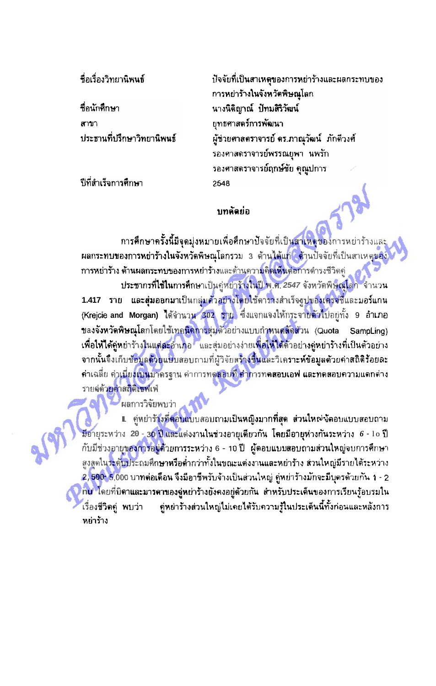ชื่อเรื่องวิทยานิพนธ์

**ที่อนักศึกษา** สาขา ประธานที่ปรึกษาวิทยานิพนธ์

ปีที่สำเร็จการศึกษา

ปัจจัยที่เป็นสาเหตุของการหย่าร้างและผลกระทบของ การหย่าร้างในจังหวัดพิษณุโลก นางนิติญาณ์ ปัทมสิริวัฒน์ ยทธศาสตร์การพัฒนา ผู้ช่วยศาสตราจารย์ ดร.ภาณุวัฒน์ ภักดีวงศ์ รองศาสตราจารย์พรรณยุพา นพรัก รองศาสตราจารย์ฤกษ์ชัย คุณูปการ 2548

## บทดัดย่อ

<mark>การศึกษาครั้งนี้มีจุดมุ่งหมายเพื่อศึกษาปัจจัยที่เป็นสาเหตุของ</mark>การหย่าร้างและ ีผลกระทบของการหย่าร้างในจังหวัดพิษณุโลกรวม 3 ต้านได้แก่<mark>ใ</mark> ต้านปัจจัยที่เป็นสาเหตุของ <mark>การหย่าร้าง ต้านผลกระทบของการหย่าร้</mark>างและด้านควา<mark>มคิดเห็นต่อก</mark>ารดำรงชีวิตคู่ ประชากรที่**ไช้ใน**การศึกษาเป็นคู่หย่าร้างในปี พ.ศ. 2547 จังหวัดพิษณุโลก จำนวน 1.417 ราย และสุ่มออกมาเป็นกลุ่มด้วอย่างโดยใช้ตารางสำเร็จฐปของเครจซี่และมอร์แกน (Krejcie and Morgan) ได้จำนวน 302 ราย ซึ่งแจกแจงให้กระจายตัวไปอยู่ทั้ง 9 อำเภอ ขอ<mark>งจังหวัดพิษณุโ</mark>ลกโดยใช้เทค<mark>นิคก</mark>ารสุ่มตัวอย่างแบบกำ<mark>หนดสัดส่วน (Quota</mark> SampLing) ้เพื่อให้ได้คู่หย่าร้างในแต่ละอำเภอ และสุ่มอย่างง่ายเพื่<mark>อให้ได้</mark>ด้วอย่า<mark>งคู่หย่าร้างที่เ</mark>ป็นตัวอย่าง จากนั้นจึงเก็บข้อมูลด้วยแบบสอบถามที่ผู้วิจัยสร้างขึ้นและวิเคราะห์ข้อมูลด้วยค่าสถิติร้อยละ ้คำเฉลี่ย คำ**เบี่ยงเบน**มาครฐาน คำการทดสอบที่ คำการท**ดสอบเอฟ และทดสอบความแดก**ต่าง รายล่ด้ว<mark>ยค่าสถิติเชฟเ</mark>ฟ

ผลการวิจัยพบว่า

∎ คู่หย่ารัวงที่ตอบแบบสอบถามเป็นหญิงมากที่สุด ส่วนใหญ่งัดอบแบบสอบถาม มีอายุระหว่าง 20 <mark>- 30 ปี และ</mark>แต่งงานในช่วงอายุเดียวกัน โดยมีอายุห่างกันระหว่าง 6 - 1o ปี กับมีช่วงอายุข<mark>องการอมู่ด้วยการระห</mark>ว่าง 6 - 10 ปี ผู้ดอบแบบสอบถามส่วนใหญ่จบการศึกษา สูงสุดใน<mark>วะดับประถมศึกษาหรือต่</mark>ำกว่าทั้งในขณะแต่งงานและหย่าร้าง ส่วนใหญ่มีรายได้ระหว่าง 2,500- 5,000 บาทต่อเดือน จึงมีอาชีพรับจ้างเป็นส่วนใหญ่ คู่หย่าร้างมักจะมีบุตรด้วยกัน 1 - 2 <mark>ึกน</mark> โดยที่บิดาและมารดาของลู่หย่าร้างยังคงอยู่ด้วยกัน สำหรับประเด็นของการเรียนรู้อบรมใน ้คู่หย่าร้างส่วนใหญ่ไม่เคยได้รับความรู้ในประเด็นนี้ทั้งก่อนและหลังการ ้เรื่องชีวิตคู่ พบว่า หย่าร้าง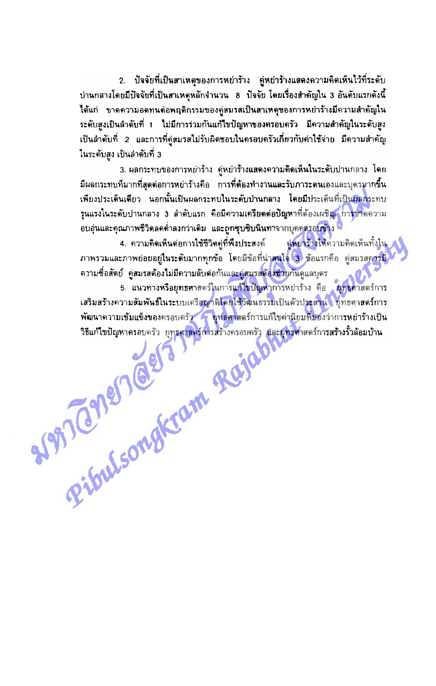่ 2. ปัจจัยที่เป็นสาเหตุของการหย่าร้าง คู่หย่าร้างแสดงความคิดเห็นไว้ที่ระดับ ี่บ่านกลางโดยมีปัจจัยที่เป็นสาเหตุหลักจำนวน 8 ปัจจัย โดยเรื่องสำคัญใน 3 อันดับแรกดังนี้ ได้แก่ ขาดความอดทนด่อพฤติกรรมของคู่สมรสเป็นสาเหดุของการหย่าร้างมีความสำคัญใน ระดับสูงเป็นลำดับที่ 1 ไม่มีการร่วมกันแก้ไขปัญหาของครอบครัว มีความสำคัญในระดับสูง เป็นลำดับที่ 2 และการที่คู่สมรสไม่รับผิดชอบในครอบครัวเกี่ยวกับค่าใช้จ่าย มีความสำคัญ ในระดับสูง เป็นลำดับที่ 3

3. ผลกระทบของการหย่าร้าง คู่หย่าร้างแสดงความคิดเห็นในระดับปานกลาง โดย ่มีผลกระทบที่มากที่สุดต่อการหย่าร้างคือ การที่ต้องทำงานและรับภาระดนเองและบุตรมากขึ้น เพียงประเด็นเดียว นอกนั้นเป็นผลกระทบในระดับปานกลาง โดยมีประเด็นที่เป็น<mark>ผลก</mark>ระทบ ้รุนแรงในระดับปานกลาง 3 ลำดับแรก คือมีความเครียดต่อปัญหาที่ต้องเผชิญ การขาดความ อบอุ่นและคุณภาพชีวิตลดดำลงกว่าเดิม และถูกซุบซิบนินทาจากบุคคลรอบข้าง

4. ความคิดเห็นต่อการใช้ชีวิตคู่ที่พึงประสงค์ **คู่หย่าร้างให้**ความคิดเห็นทั้งใน ภาพรวมและภาพย่อยอยู่ในระดับมากทุกข้อ โดยมีข้อที่น่า<mark>สนใจ 3 </mark>ข้อแรกคือ คู่สมรสค<del>วร</del>มี ิ ความชื่อสัตย์ คู่สมรสต้องไม่มีความลับต่อกันและคู่สมรสต้องช่วยกันดูแลบุตร

Reflection Reignance 5. แนวทางหรือยุทธศาสตร์ในการแก้ไขปัญหาการหย่าร้าง คือ ยุทธศาสตร์การ เสริมสร้างความสัมพันธ์ในระบบเครือญาติโดยใช้วัฒนธรรมเป็นด้วประสาน ยุทธศาสตร์การ พัฒนาความเข้มแข็งของครอบครัว ๆ ยุทธศาสตร์การแก้ไขต่านิยมที่มองว่าการหย่าร้างเป็น ์วิธีแก้ไขปัญหาครอบครัว ยุทธศาสตร์การสร้างครอบครัว และยุทธศาสตร์กา<mark>รสร้างรั้วล้อมบ้าน</mark>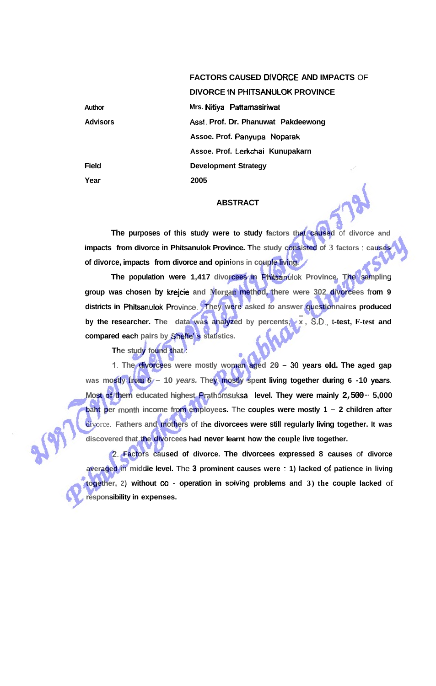## **FACTORS CAUSED DIVORCE AND IMPACTS** OF

**DIVORCE IN PHITSANULOK PROVINCE** 

**Author Advisors Field Year Mrs. Nitiya Pattamasiriwat Asst. Prof. Dr. Phanuwat Pakdeewong Assoe. Prof. Panyupa Noparak Assoe. Prof. Lerkchai Kunupakarn Development Strategy 2005** 

## **ABSTRACT**

**The purposes of this study were to study factors that caused** of **divorce and impacts from divorce in Phitsanulok Province. The study consisted of 3 factors** : **causes of divorce, impacts from divorce and opinions in couple living.** 

**The population were 1,417 divorcees in Phitsanulok Province. The sampling group was chosen by krejcie and Morgan method, there were 302 divorcees from 9 districts in Phitsanutok Province.** They were asked *to* answer questionnaires produced by the researcher. The data was analyzed by percents,  $\overline{x}$ , S.D., t-test, F-test and **compared each pairs by Sheffe' s statistics.** 

**The study found that** :

t. **The divorcees were mostly woman aged 20** - **<sup>30</sup>years old. The aged gap was mostly from <sup>6</sup>**- **<sup>10</sup>years. They mostly spent living together during 6 -10 years. Most of them educated highest Prathomsuksa level. They were mainly 2,500** -- **5,000 baht per month income from employees. The couples were mostly 1 - 2 children after** divorce. **Fathers and mothers of the divorcees were still regularly living together. It was discovered that the divorcees had never learnt how the couple live together.** 

2. **Factors caused of divorce. The divorcees expressed 8 causes** of **divorce averaged** in **middle level.** The **3 prominent causes were** : **1) lacked of patience in living together, 2) without co** - **operation in soiving problems and 3) the couple lacked** of **responsibility in expenses.**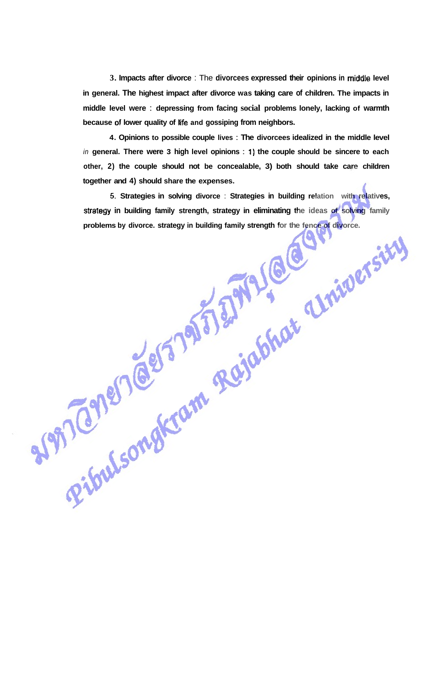**3. Impacts after divorce** : The **divorcees expressed their opinions in middie level in general. The highest impact after divorce was taking care of children. The impacts in middle level were** : **depressing from facing social problems lonely, lacking of warmth**  because of lower quality of life and gossiping from neighbors.

**4. Opinions to possible couple lives** : **The divorcees idealized in the middle level**  in **general. There were 3 high level opinions** : I) **the couple should be sincere to each other, 2) the couple should not be concealable, 3) both should take care children together and 4) should share the expenses.** 

**5. Strategies in solving divorce** : **Strategies in building relation with relatives, stralegy in building family strength, strategy in eliminating the ideas of solving family problems by divorce. strategy in building family strength for the fence of divorce.**